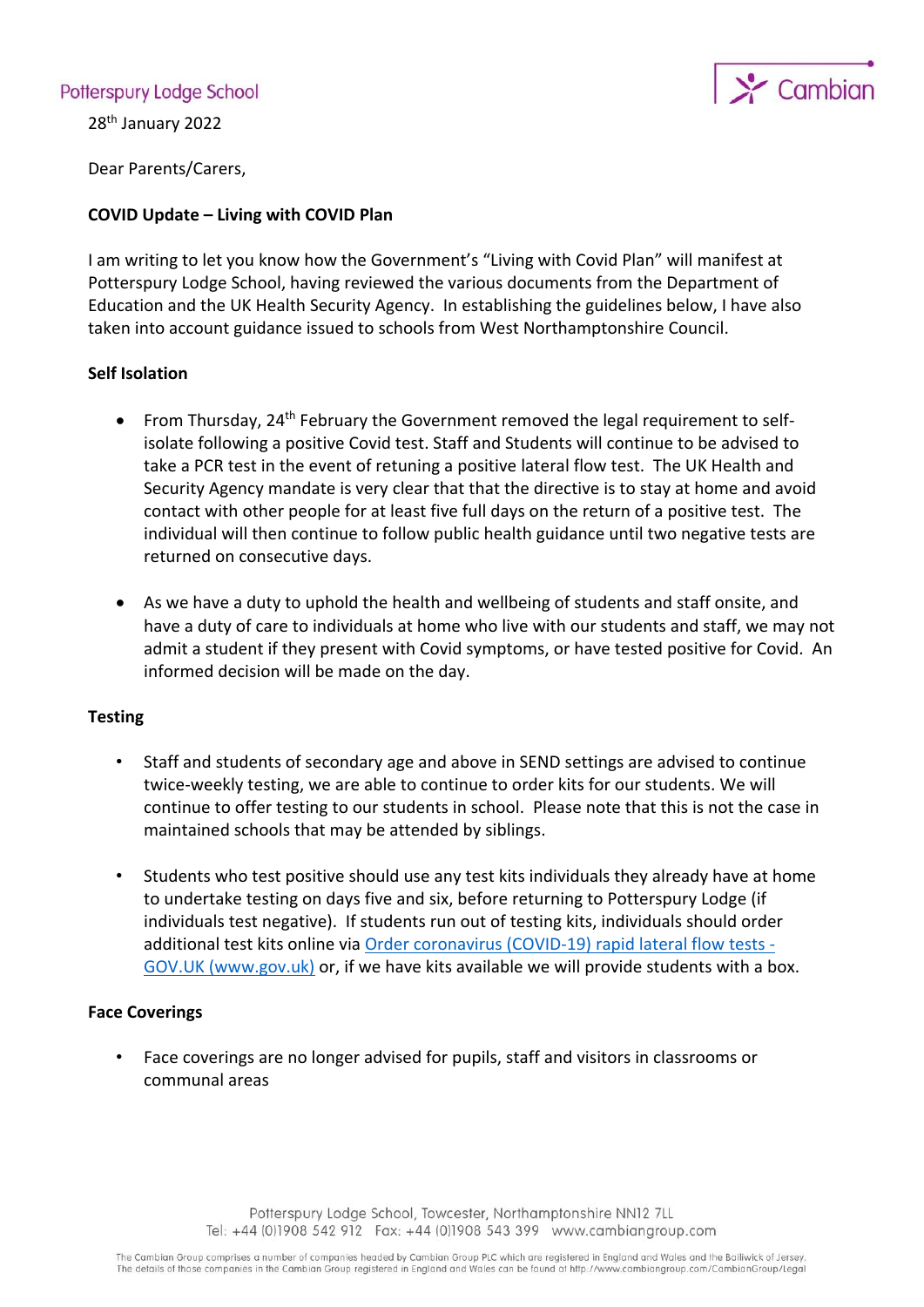## Potterspury Lodge School



28th January 2022

Dear Parents/Carers,

### **COVID Update – Living with COVID Plan**

I am writing to let you know how the Government's "Living with Covid Plan" will manifest at Potterspury Lodge School, having reviewed the various documents from the Department of Education and the UK Health Security Agency. In establishing the guidelines below, I have also taken into account guidance issued to schools from West Northamptonshire Council.

#### **Self Isolation**

- From Thursday, 24<sup>th</sup> February the Government removed the legal requirement to selfisolate following a positive Covid test. Staff and Students will continue to be advised to take a PCR test in the event of retuning a positive lateral flow test. The UK Health and Security Agency mandate is very clear that that the directive is to stay at home and avoid contact with other people for at least five full days on the return of a positive test. The individual will then continue to follow public health guidance until two negative tests are returned on consecutive days.
- As we have a duty to uphold the health and wellbeing of students and staff onsite, and have a duty of care to individuals at home who live with our students and staff, we may not admit a student if they present with Covid symptoms, or have tested positive for Covid. An informed decision will be made on the day.

#### **Testing**

- Staff and students of secondary age and above in SEND settings are advised to continue twice-weekly testing, we are able to continue to order kits for our students. We will continue to offer testing to our students in school. Please note that this is not the case in maintained schools that may be attended by siblings.
- Students who test positive should use any test kits individuals they already have at home to undertake testing on days five and six, before returning to Potterspury Lodge (if individuals test negative). If students run out of testing kits, individuals should order additional test kits online via [Order coronavirus \(COVID-19\) rapid lateral flow tests -](https://www.gov.uk/order-coronavirus-rapid-lateral-flow-tests) [GOV.UK \(www.gov.uk\)](https://www.gov.uk/order-coronavirus-rapid-lateral-flow-tests) or, if we have kits available we will provide students with a box.

#### **Face Coverings**

• Face coverings are no longer advised for pupils, staff and visitors in classrooms or communal areas